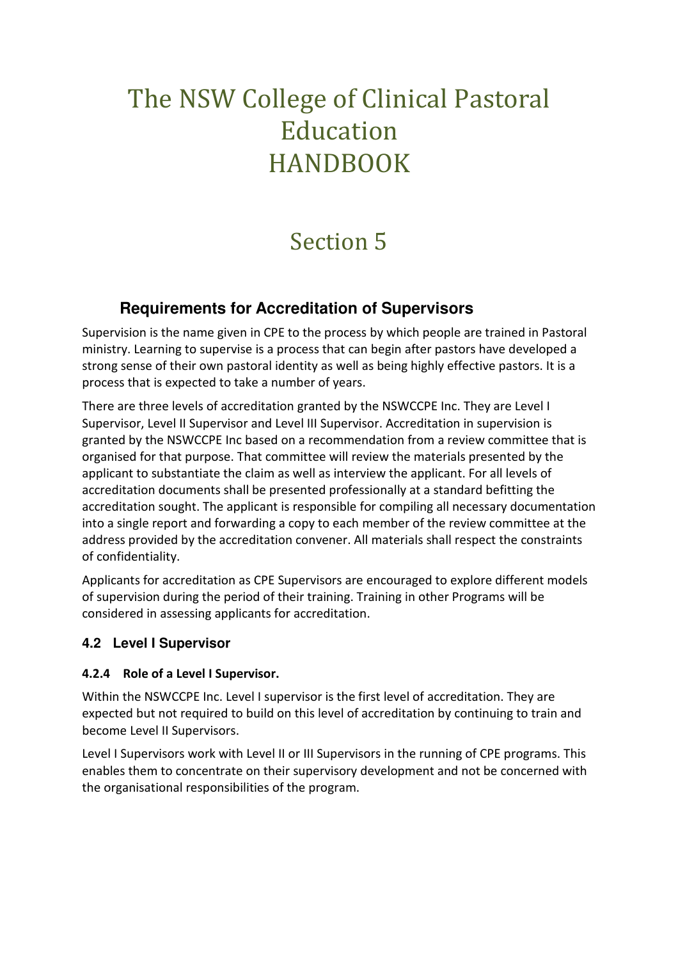# The NSW College of Clinical Pastoral Education HANDBOOK

# Section 5

## **Requirements for Accreditation of Supervisors**

Supervision is the name given in CPE to the process by which people are trained in Pastoral ministry. Learning to supervise is a process that can begin after pastors have developed a strong sense of their own pastoral identity as well as being highly effective pastors. It is a process that is expected to take a number of years.

There are three levels of accreditation granted by the NSWCCPE Inc. They are Level I Supervisor, Level II Supervisor and Level III Supervisor. Accreditation in supervision is granted by the NSWCCPE Inc based on a recommendation from a review committee that is organised for that purpose. That committee will review the materials presented by the applicant to substantiate the claim as well as interview the applicant. For all levels of accreditation documents shall be presented professionally at a standard befitting the accreditation sought. The applicant is responsible for compiling all necessary documentation into a single report and forwarding a copy to each member of the review committee at the address provided by the accreditation convener. All materials shall respect the constraints of confidentiality.

Applicants for accreditation as CPE Supervisors are encouraged to explore different models of supervision during the period of their training. Training in other Programs will be considered in assessing applicants for accreditation.

## **4.2 Level I Supervisor**

## **4.2.4 Role of a Level I Supervisor.**

Within the NSWCCPE Inc. Level I supervisor is the first level of accreditation. They are expected but not required to build on this level of accreditation by continuing to train and become Level II Supervisors.

Level I Supervisors work with Level II or III Supervisors in the running of CPE programs. This enables them to concentrate on their supervisory development and not be concerned with the organisational responsibilities of the program.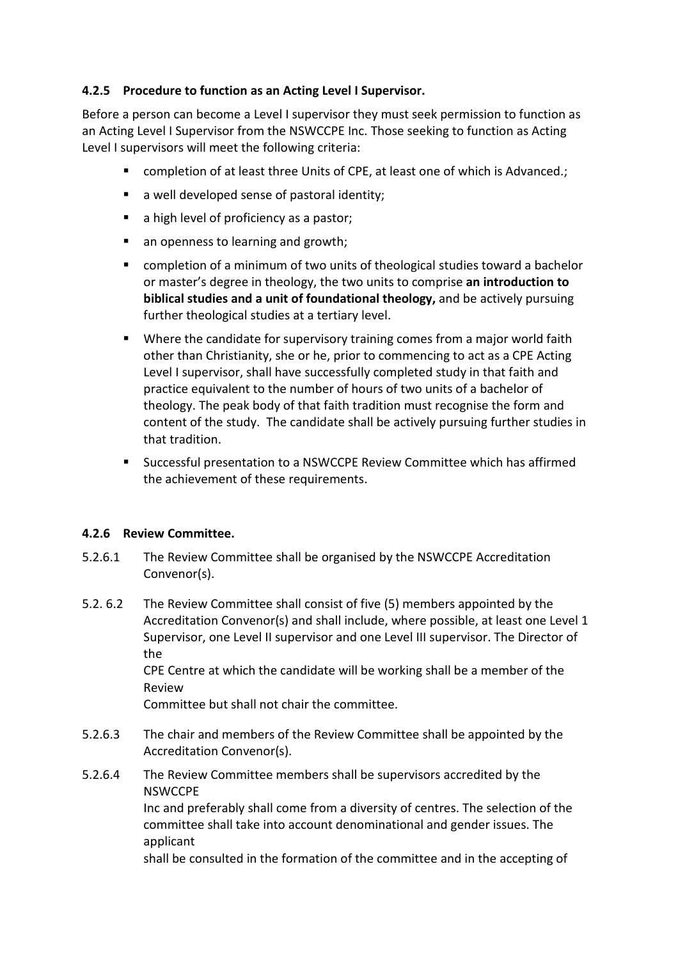## **4.2.5 Procedure to function as an Acting Level I Supervisor.**

Before a person can become a Level I supervisor they must seek permission to function as an Acting Level I Supervisor from the NSWCCPE Inc. Those seeking to function as Acting Level I supervisors will meet the following criteria:

- completion of at least three Units of CPE, at least one of which is Advanced.;
- a well developed sense of pastoral identity;
- a high level of proficiency as a pastor;
- an openness to learning and growth;
- completion of a minimum of two units of theological studies toward a bachelor or master's degree in theology, the two units to comprise **an introduction to biblical studies and a unit of foundational theology,** and be actively pursuing further theological studies at a tertiary level.
- Where the candidate for supervisory training comes from a major world faith other than Christianity, she or he, prior to commencing to act as a CPE Acting Level I supervisor, shall have successfully completed study in that faith and practice equivalent to the number of hours of two units of a bachelor of theology. The peak body of that faith tradition must recognise the form and content of the study. The candidate shall be actively pursuing further studies in that tradition.
- Successful presentation to a NSWCCPE Review Committee which has affirmed the achievement of these requirements.

## **4.2.6 Review Committee.**

- 5.2.6.1 The Review Committee shall be organised by the NSWCCPE Accreditation Convenor(s).
- 5.2. 6.2 The Review Committee shall consist of five (5) members appointed by the Accreditation Convenor(s) and shall include, where possible, at least one Level 1 Supervisor, one Level II supervisor and one Level III supervisor. The Director of the

 CPE Centre at which the candidate will be working shall be a member of the Review

Committee but shall not chair the committee.

- 5.2.6.3 The chair and members of the Review Committee shall be appointed by the Accreditation Convenor(s).
- 5.2.6.4 The Review Committee members shall be supervisors accredited by the **NSWCCPE**  Inc and preferably shall come from a diversity of centres. The selection of the committee shall take into account denominational and gender issues. The applicant shall be consulted in the formation of the committee and in the accepting of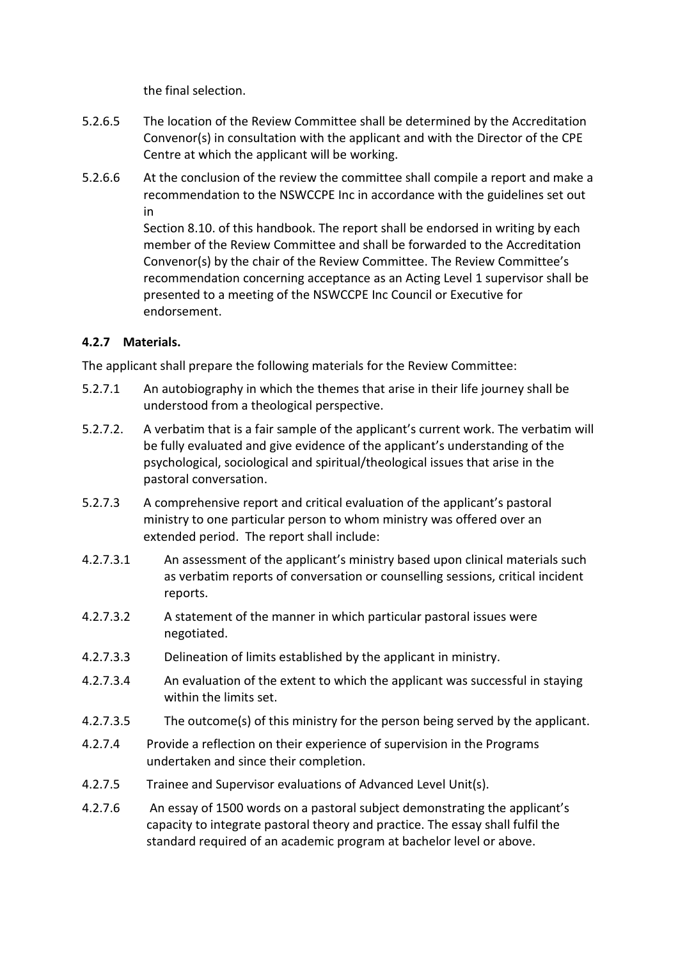the final selection.

- 5.2.6.5 The location of the Review Committee shall be determined by the Accreditation Convenor(s) in consultation with the applicant and with the Director of the CPE Centre at which the applicant will be working.
- 5.2.6.6 At the conclusion of the review the committee shall compile a report and make a recommendation to the NSWCCPE Inc in accordance with the guidelines set out in

 Section 8.10. of this handbook. The report shall be endorsed in writing by each member of the Review Committee and shall be forwarded to the Accreditation Convenor(s) by the chair of the Review Committee. The Review Committee's recommendation concerning acceptance as an Acting Level 1 supervisor shall be presented to a meeting of the NSWCCPE Inc Council or Executive for endorsement.

## **4.2.7 Materials.**

The applicant shall prepare the following materials for the Review Committee:

- 5.2.7.1 An autobiography in which the themes that arise in their life journey shall be understood from a theological perspective.
- 5.2.7.2. A verbatim that is a fair sample of the applicant's current work. The verbatim will be fully evaluated and give evidence of the applicant's understanding of the psychological, sociological and spiritual/theological issues that arise in the pastoral conversation.
- 5.2.7.3 A comprehensive report and critical evaluation of the applicant's pastoral ministry to one particular person to whom ministry was offered over an extended period. The report shall include:
- 4.2.7.3.1 An assessment of the applicant's ministry based upon clinical materials such as verbatim reports of conversation or counselling sessions, critical incident reports.
- 4.2.7.3.2 A statement of the manner in which particular pastoral issues were negotiated.
- 4.2.7.3.3 Delineation of limits established by the applicant in ministry.
- 4.2.7.3.4 An evaluation of the extent to which the applicant was successful in staying within the limits set.
- 4.2.7.3.5 The outcome(s) of this ministry for the person being served by the applicant.
- 4.2.7.4 Provide a reflection on their experience of supervision in the Programs undertaken and since their completion.
- 4.2.7.5 Trainee and Supervisor evaluations of Advanced Level Unit(s).
- 4.2.7.6 An essay of 1500 words on a pastoral subject demonstrating the applicant's capacity to integrate pastoral theory and practice. The essay shall fulfil the standard required of an academic program at bachelor level or above.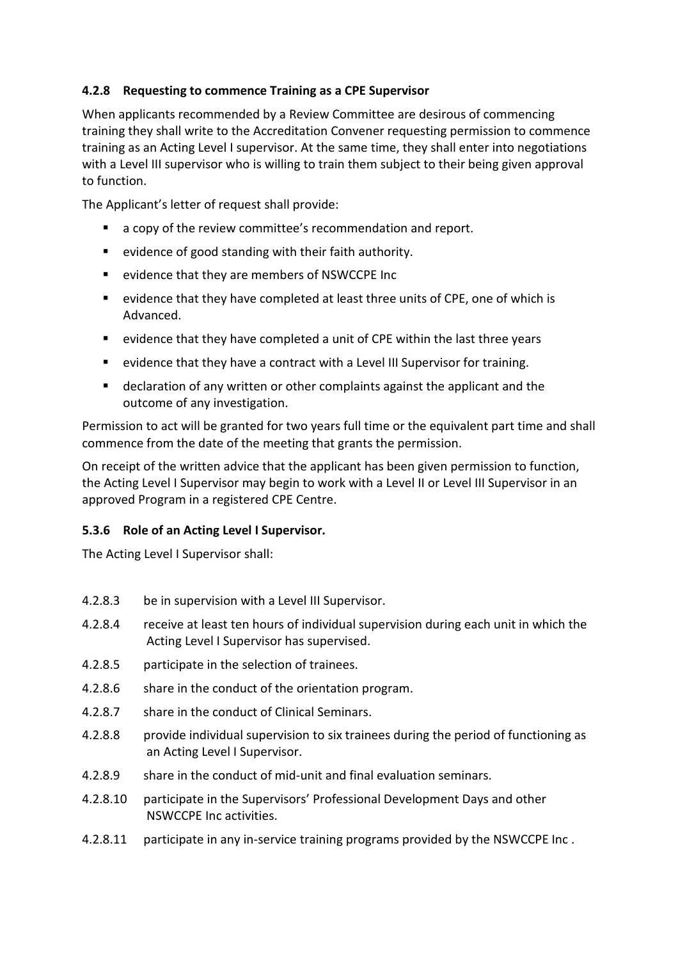## **4.2.8 Requesting to commence Training as a CPE Supervisor**

When applicants recommended by a Review Committee are desirous of commencing training they shall write to the Accreditation Convener requesting permission to commence training as an Acting Level I supervisor. At the same time, they shall enter into negotiations with a Level III supervisor who is willing to train them subject to their being given approval to function.

The Applicant's letter of request shall provide:

- a copy of the review committee's recommendation and report.
- evidence of good standing with their faith authority.
- evidence that they are members of NSWCCPE Inc
- evidence that they have completed at least three units of CPE, one of which is Advanced.
- evidence that they have completed a unit of CPE within the last three years
- evidence that they have a contract with a Level III Supervisor for training.
- declaration of any written or other complaints against the applicant and the outcome of any investigation.

Permission to act will be granted for two years full time or the equivalent part time and shall commence from the date of the meeting that grants the permission.

On receipt of the written advice that the applicant has been given permission to function, the Acting Level I Supervisor may begin to work with a Level II or Level III Supervisor in an approved Program in a registered CPE Centre.

## **5.3.6 Role of an Acting Level I Supervisor.**

The Acting Level I Supervisor shall:

- 4.2.8.3 be in supervision with a Level III Supervisor.
- 4.2.8.4 receive at least ten hours of individual supervision during each unit in which the Acting Level I Supervisor has supervised.
- 4.2.8.5 participate in the selection of trainees.
- 4.2.8.6 share in the conduct of the orientation program.
- 4.2.8.7 share in the conduct of Clinical Seminars.
- 4.2.8.8 provide individual supervision to six trainees during the period of functioning as an Acting Level I Supervisor.
- 4.2.8.9 share in the conduct of mid-unit and final evaluation seminars.
- 4.2.8.10 participate in the Supervisors' Professional Development Days and other NSWCCPE Inc activities.
- 4.2.8.11 participate in any in-service training programs provided by the NSWCCPE Inc .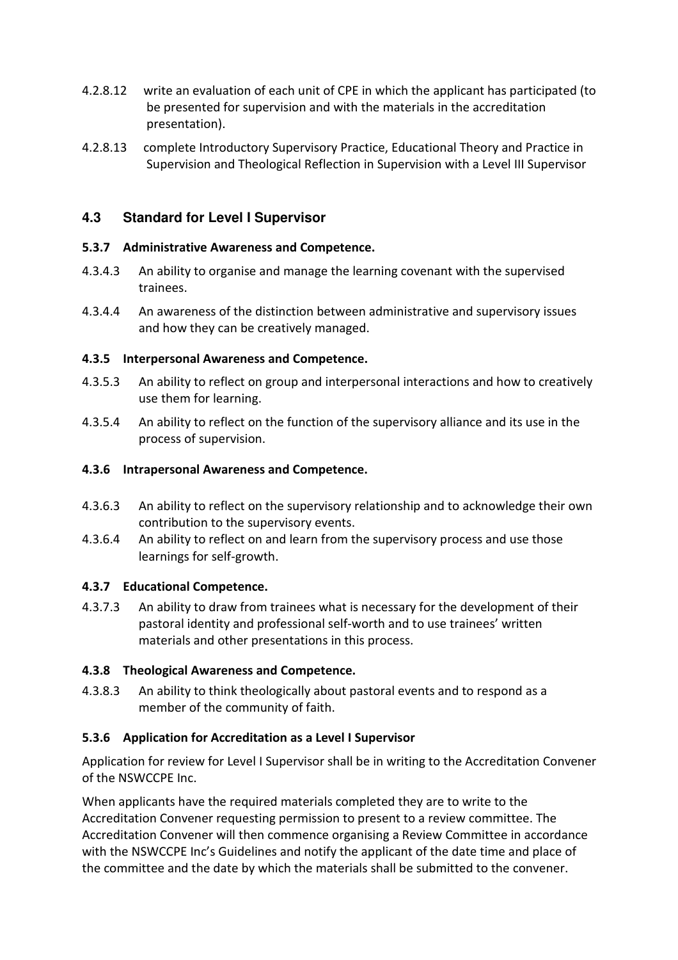- 4.2.8.12 write an evaluation of each unit of CPE in which the applicant has participated (to be presented for supervision and with the materials in the accreditation presentation).
- 4.2.8.13 complete Introductory Supervisory Practice, Educational Theory and Practice in Supervision and Theological Reflection in Supervision with a Level III Supervisor

## **4.3 Standard for Level I Supervisor**

#### **5.3.7 Administrative Awareness and Competence.**

- 4.3.4.3 An ability to organise and manage the learning covenant with the supervised trainees.
- 4.3.4.4 An awareness of the distinction between administrative and supervisory issues and how they can be creatively managed.

#### **4.3.5 Interpersonal Awareness and Competence.**

- 4.3.5.3 An ability to reflect on group and interpersonal interactions and how to creatively use them for learning.
- 4.3.5.4 An ability to reflect on the function of the supervisory alliance and its use in the process of supervision.

#### **4.3.6 Intrapersonal Awareness and Competence.**

- 4.3.6.3 An ability to reflect on the supervisory relationship and to acknowledge their own contribution to the supervisory events.
- 4.3.6.4 An ability to reflect on and learn from the supervisory process and use those learnings for self-growth.

## **4.3.7 Educational Competence.**

4.3.7.3 An ability to draw from trainees what is necessary for the development of their pastoral identity and professional self-worth and to use trainees' written materials and other presentations in this process.

## **4.3.8 Theological Awareness and Competence.**

4.3.8.3 An ability to think theologically about pastoral events and to respond as a member of the community of faith.

## **5.3.6 Application for Accreditation as a Level I Supervisor**

Application for review for Level I Supervisor shall be in writing to the Accreditation Convener of the NSWCCPE Inc.

When applicants have the required materials completed they are to write to the Accreditation Convener requesting permission to present to a review committee. The Accreditation Convener will then commence organising a Review Committee in accordance with the NSWCCPE Inc's Guidelines and notify the applicant of the date time and place of the committee and the date by which the materials shall be submitted to the convener.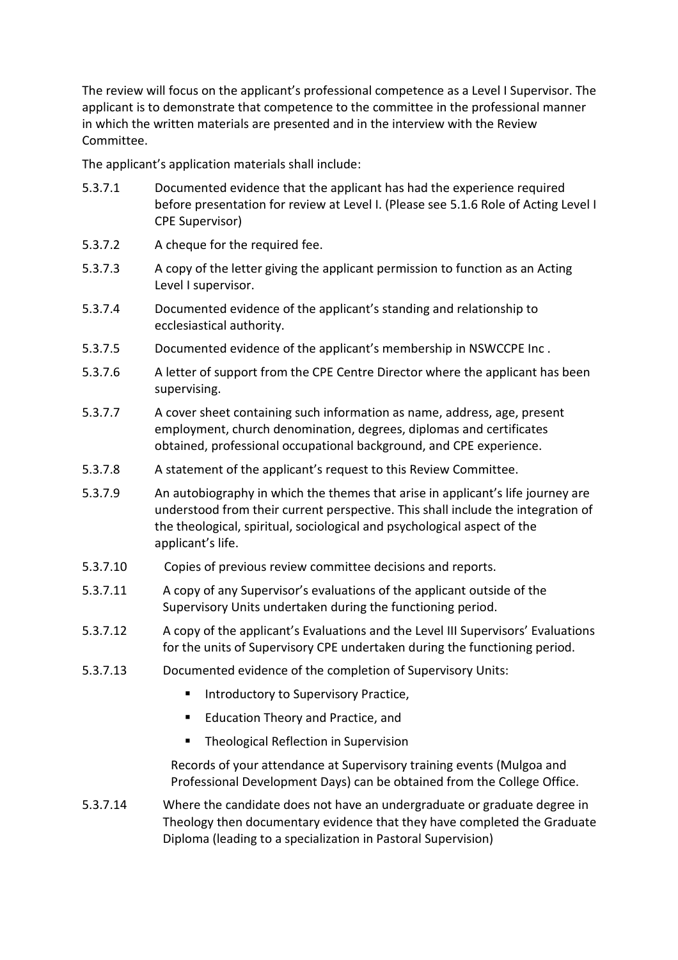The review will focus on the applicant's professional competence as a Level I Supervisor. The applicant is to demonstrate that competence to the committee in the professional manner in which the written materials are presented and in the interview with the Review Committee.

The applicant's application materials shall include:

- 5.3.7.1 Documented evidence that the applicant has had the experience required before presentation for review at Level I. (Please see 5.1.6 Role of Acting Level I CPE Supervisor)
- 5.3.7.2 A cheque for the required fee.
- 5.3.7.3 A copy of the letter giving the applicant permission to function as an Acting Level I supervisor.
- 5.3.7.4 Documented evidence of the applicant's standing and relationship to ecclesiastical authority.
- 5.3.7.5 Documented evidence of the applicant's membership in NSWCCPE Inc .
- 5.3.7.6 A letter of support from the CPE Centre Director where the applicant has been supervising.
- 5.3.7.7 A cover sheet containing such information as name, address, age, present employment, church denomination, degrees, diplomas and certificates obtained, professional occupational background, and CPE experience.
- 5.3.7.8 A statement of the applicant's request to this Review Committee.
- 5.3.7.9 An autobiography in which the themes that arise in applicant's life journey are understood from their current perspective. This shall include the integration of the theological, spiritual, sociological and psychological aspect of the applicant's life.
- 5.3.7.10 Copies of previous review committee decisions and reports.
- 5.3.7.11 A copy of any Supervisor's evaluations of the applicant outside of the Supervisory Units undertaken during the functioning period.
- 5.3.7.12 A copy of the applicant's Evaluations and the Level III Supervisors' Evaluations for the units of Supervisory CPE undertaken during the functioning period.
- 5.3.7.13 Documented evidence of the completion of Supervisory Units:
	- **Introductory to Supervisory Practice.**
	- Education Theory and Practice, and
	- Theological Reflection in Supervision

Records of your attendance at Supervisory training events (Mulgoa and Professional Development Days) can be obtained from the College Office.

5.3.7.14 Where the candidate does not have an undergraduate or graduate degree in Theology then documentary evidence that they have completed the Graduate Diploma (leading to a specialization in Pastoral Supervision)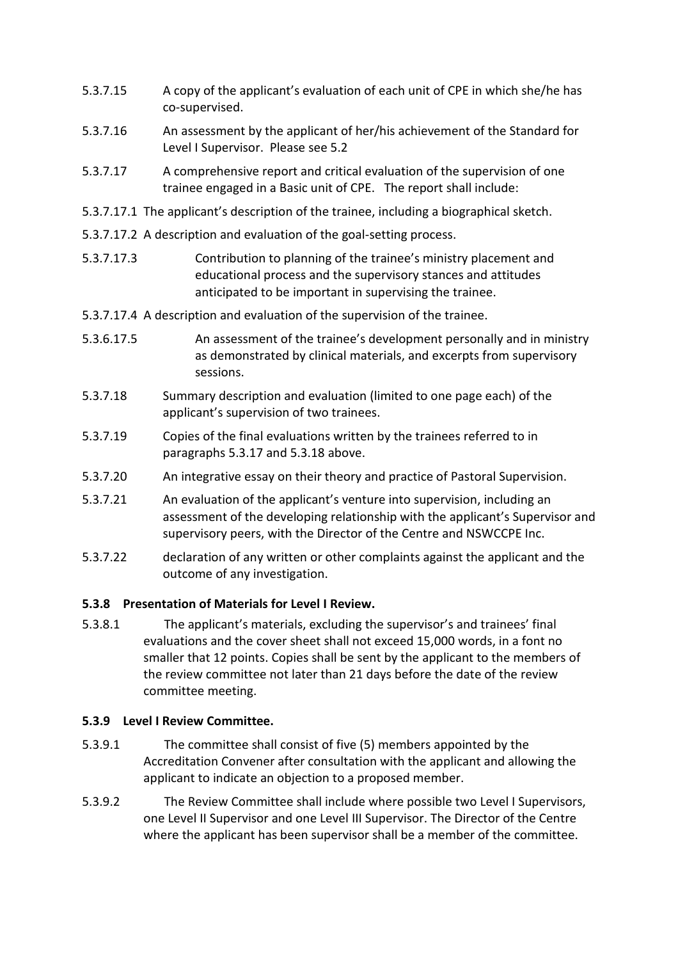- 5.3.7.15 A copy of the applicant's evaluation of each unit of CPE in which she/he has co-supervised.
- 5.3.7.16 An assessment by the applicant of her/his achievement of the Standard for Level I Supervisor. Please see 5.2
- 5.3.7.17 A comprehensive report and critical evaluation of the supervision of one trainee engaged in a Basic unit of CPE. The report shall include:
- 5.3.7.17.1 The applicant's description of the trainee, including a biographical sketch.
- 5.3.7.17.2 A description and evaluation of the goal-setting process.
- 5.3.7.17.3 Contribution to planning of the trainee's ministry placement and educational process and the supervisory stances and attitudes anticipated to be important in supervising the trainee.
- 5.3.7.17.4 A description and evaluation of the supervision of the trainee.
- 5.3.6.17.5 An assessment of the trainee's development personally and in ministry as demonstrated by clinical materials, and excerpts from supervisory sessions.
- 5.3.7.18 Summary description and evaluation (limited to one page each) of the applicant's supervision of two trainees.
- 5.3.7.19 Copies of the final evaluations written by the trainees referred to in paragraphs 5.3.17 and 5.3.18 above.
- 5.3.7.20 An integrative essay on their theory and practice of Pastoral Supervision.
- 5.3.7.21 An evaluation of the applicant's venture into supervision, including an assessment of the developing relationship with the applicant's Supervisor and supervisory peers, with the Director of the Centre and NSWCCPE Inc.
- 5.3.7.22 declaration of any written or other complaints against the applicant and the outcome of any investigation.

## **5.3.8 Presentation of Materials for Level I Review.**

5.3.8.1 The applicant's materials, excluding the supervisor's and trainees' final evaluations and the cover sheet shall not exceed 15,000 words, in a font no smaller that 12 points. Copies shall be sent by the applicant to the members of the review committee not later than 21 days before the date of the review committee meeting.

## **5.3.9 Level I Review Committee.**

- 5.3.9.1 The committee shall consist of five (5) members appointed by the Accreditation Convener after consultation with the applicant and allowing the applicant to indicate an objection to a proposed member.
- 5.3.9.2 The Review Committee shall include where possible two Level I Supervisors, one Level II Supervisor and one Level III Supervisor. The Director of the Centre where the applicant has been supervisor shall be a member of the committee.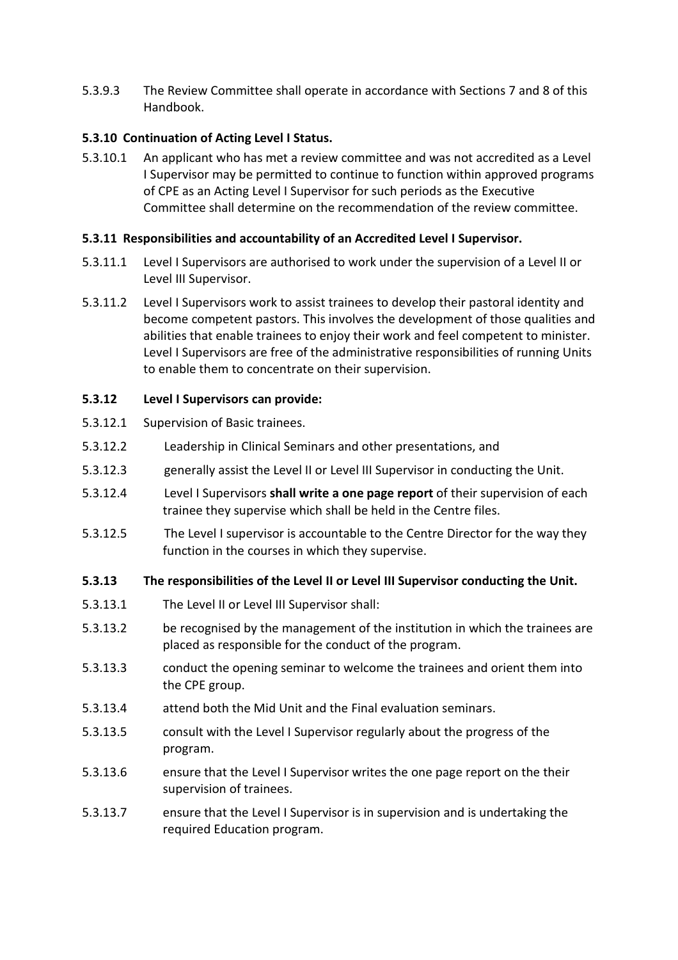5.3.9.3 The Review Committee shall operate in accordance with Sections 7 and 8 of this Handbook.

## **5.3.10 Continuation of Acting Level I Status.**

5.3.10.1 An applicant who has met a review committee and was not accredited as a Level I Supervisor may be permitted to continue to function within approved programs of CPE as an Acting Level I Supervisor for such periods as the Executive Committee shall determine on the recommendation of the review committee.

## **5.3.11 Responsibilities and accountability of an Accredited Level I Supervisor.**

- 5.3.11.1 Level I Supervisors are authorised to work under the supervision of a Level II or Level III Supervisor.
- 5.3.11.2 Level I Supervisors work to assist trainees to develop their pastoral identity and become competent pastors. This involves the development of those qualities and abilities that enable trainees to enjoy their work and feel competent to minister. Level I Supervisors are free of the administrative responsibilities of running Units to enable them to concentrate on their supervision.

## **5.3.12 Level I Supervisors can provide:**

- 5.3.12.1 Supervision of Basic trainees.
- 5.3.12.2 Leadership in Clinical Seminars and other presentations, and
- 5.3.12.3 generally assist the Level II or Level III Supervisor in conducting the Unit.
- 5.3.12.4 Level I Supervisors **shall write a one page report** of their supervision of each trainee they supervise which shall be held in the Centre files.
- 5.3.12.5 The Level I supervisor is accountable to the Centre Director for the way they function in the courses in which they supervise.

#### **5.3.13 The responsibilities of the Level II or Level III Supervisor conducting the Unit.**

- 5.3.13.1 The Level II or Level III Supervisor shall:
- 5.3.13.2 be recognised by the management of the institution in which the trainees are placed as responsible for the conduct of the program.
- 5.3.13.3 conduct the opening seminar to welcome the trainees and orient them into the CPE group.
- 5.3.13.4 attend both the Mid Unit and the Final evaluation seminars.
- 5.3.13.5 consult with the Level I Supervisor regularly about the progress of the program.
- 5.3.13.6 ensure that the Level I Supervisor writes the one page report on the their supervision of trainees.
- 5.3.13.7 ensure that the Level I Supervisor is in supervision and is undertaking the required Education program.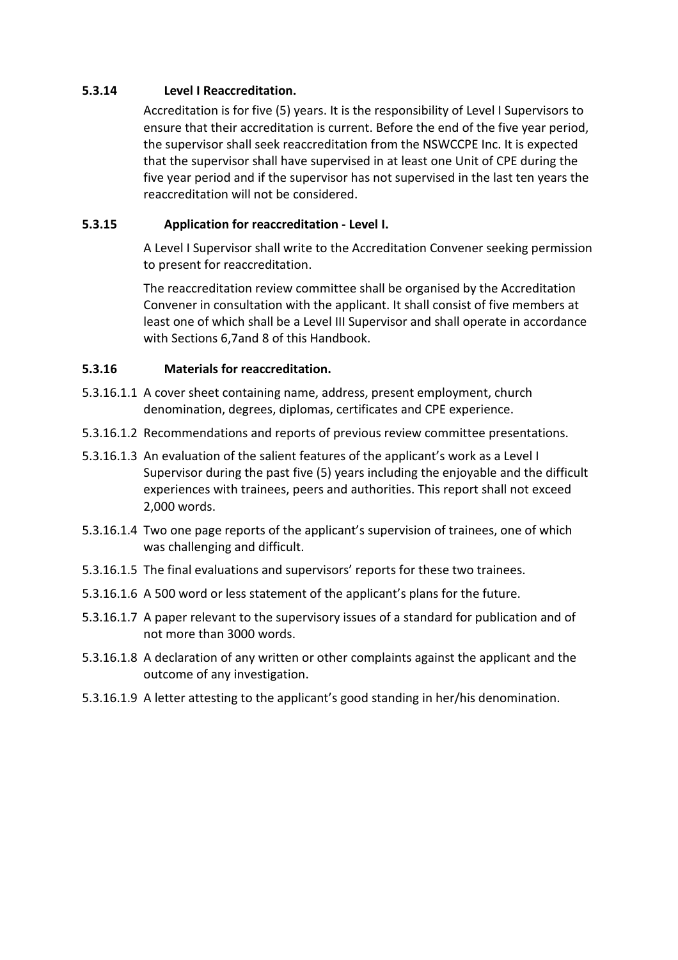#### **5.3.14 Level I Reaccreditation.**

Accreditation is for five (5) years. It is the responsibility of Level I Supervisors to ensure that their accreditation is current. Before the end of the five year period, the supervisor shall seek reaccreditation from the NSWCCPE Inc. It is expected that the supervisor shall have supervised in at least one Unit of CPE during the five year period and if the supervisor has not supervised in the last ten years the reaccreditation will not be considered.

## **5.3.15 Application for reaccreditation - Level I.**

A Level I Supervisor shall write to the Accreditation Convener seeking permission to present for reaccreditation.

The reaccreditation review committee shall be organised by the Accreditation Convener in consultation with the applicant. It shall consist of five members at least one of which shall be a Level III Supervisor and shall operate in accordance with Sections 6,7and 8 of this Handbook.

#### **5.3.16 Materials for reaccreditation.**

- 5.3.16.1.1 A cover sheet containing name, address, present employment, church denomination, degrees, diplomas, certificates and CPE experience.
- 5.3.16.1.2 Recommendations and reports of previous review committee presentations.
- 5.3.16.1.3 An evaluation of the salient features of the applicant's work as a Level I Supervisor during the past five (5) years including the enjoyable and the difficult experiences with trainees, peers and authorities. This report shall not exceed 2,000 words.
- 5.3.16.1.4 Two one page reports of the applicant's supervision of trainees, one of which was challenging and difficult.
- 5.3.16.1.5 The final evaluations and supervisors' reports for these two trainees.
- 5.3.16.1.6 A 500 word or less statement of the applicant's plans for the future.
- 5.3.16.1.7 A paper relevant to the supervisory issues of a standard for publication and of not more than 3000 words.
- 5.3.16.1.8 A declaration of any written or other complaints against the applicant and the outcome of any investigation.
- 5.3.16.1.9 A letter attesting to the applicant's good standing in her/his denomination.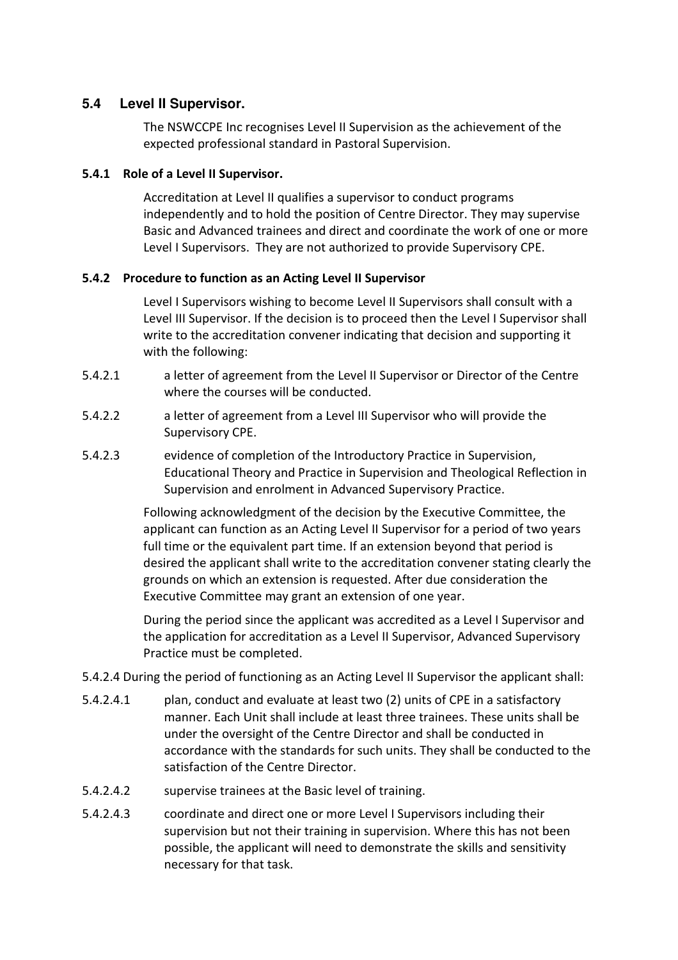## **5.4 Level II Supervisor.**

The NSWCCPE Inc recognises Level II Supervision as the achievement of the expected professional standard in Pastoral Supervision.

#### **5.4.1 Role of a Level II Supervisor.**

Accreditation at Level II qualifies a supervisor to conduct programs independently and to hold the position of Centre Director. They may supervise Basic and Advanced trainees and direct and coordinate the work of one or more Level I Supervisors. They are not authorized to provide Supervisory CPE.

#### **5.4.2 Procedure to function as an Acting Level II Supervisor**

Level I Supervisors wishing to become Level II Supervisors shall consult with a Level III Supervisor. If the decision is to proceed then the Level I Supervisor shall write to the accreditation convener indicating that decision and supporting it with the following:

- 5.4.2.1 a letter of agreement from the Level II Supervisor or Director of the Centre where the courses will be conducted.
- 5.4.2.2 a letter of agreement from a Level III Supervisor who will provide the Supervisory CPE.
- 5.4.2.3 evidence of completion of the Introductory Practice in Supervision, Educational Theory and Practice in Supervision and Theological Reflection in Supervision and enrolment in Advanced Supervisory Practice.

Following acknowledgment of the decision by the Executive Committee, the applicant can function as an Acting Level II Supervisor for a period of two years full time or the equivalent part time. If an extension beyond that period is desired the applicant shall write to the accreditation convener stating clearly the grounds on which an extension is requested. After due consideration the Executive Committee may grant an extension of one year.

During the period since the applicant was accredited as a Level I Supervisor and the application for accreditation as a Level II Supervisor, Advanced Supervisory Practice must be completed.

- 5.4.2.4 During the period of functioning as an Acting Level II Supervisor the applicant shall:
- 5.4.2.4.1 plan, conduct and evaluate at least two (2) units of CPE in a satisfactory manner. Each Unit shall include at least three trainees. These units shall be under the oversight of the Centre Director and shall be conducted in accordance with the standards for such units. They shall be conducted to the satisfaction of the Centre Director.
- 5.4.2.4.2 supervise trainees at the Basic level of training.
- 5.4.2.4.3 coordinate and direct one or more Level I Supervisors including their supervision but not their training in supervision. Where this has not been possible, the applicant will need to demonstrate the skills and sensitivity necessary for that task.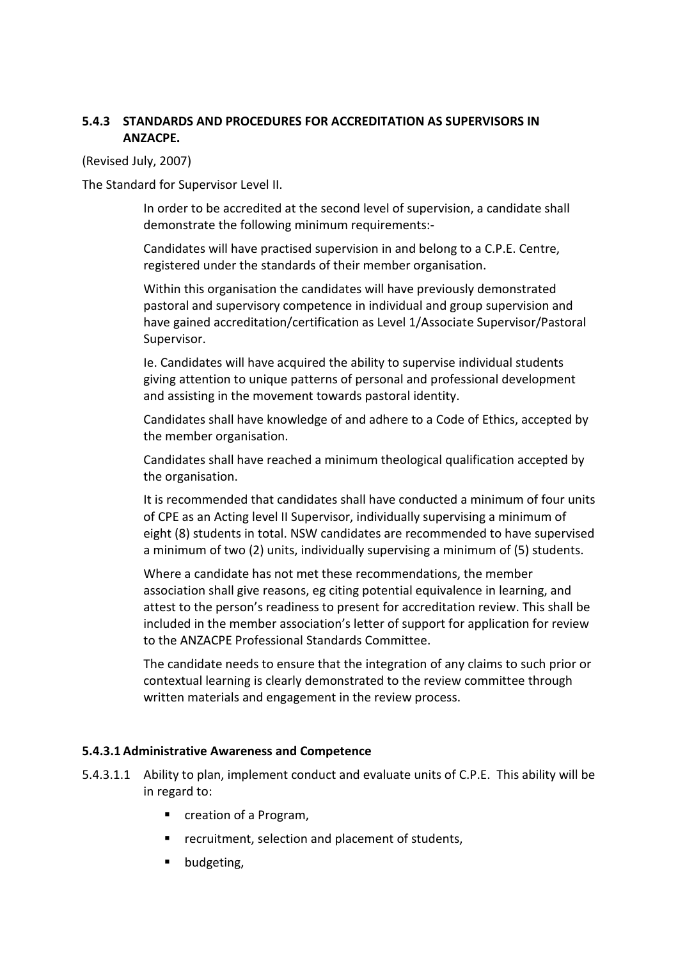## **5.4.3 STANDARDS AND PROCEDURES FOR ACCREDITATION AS SUPERVISORS IN ANZACPE.**

(Revised July, 2007)

The Standard for Supervisor Level II.

In order to be accredited at the second level of supervision, a candidate shall demonstrate the following minimum requirements:-

Candidates will have practised supervision in and belong to a C.P.E. Centre, registered under the standards of their member organisation.

Within this organisation the candidates will have previously demonstrated pastoral and supervisory competence in individual and group supervision and have gained accreditation/certification as Level 1/Associate Supervisor/Pastoral Supervisor.

Ie. Candidates will have acquired the ability to supervise individual students giving attention to unique patterns of personal and professional development and assisting in the movement towards pastoral identity.

Candidates shall have knowledge of and adhere to a Code of Ethics, accepted by the member organisation.

Candidates shall have reached a minimum theological qualification accepted by the organisation.

It is recommended that candidates shall have conducted a minimum of four units of CPE as an Acting level II Supervisor, individually supervising a minimum of eight (8) students in total. NSW candidates are recommended to have supervised a minimum of two (2) units, individually supervising a minimum of (5) students.

Where a candidate has not met these recommendations, the member association shall give reasons, eg citing potential equivalence in learning, and attest to the person's readiness to present for accreditation review. This shall be included in the member association's letter of support for application for review to the ANZACPE Professional Standards Committee.

The candidate needs to ensure that the integration of any claims to such prior or contextual learning is clearly demonstrated to the review committee through written materials and engagement in the review process.

#### **5.4.3.1 Administrative Awareness and Competence**

- 5.4.3.1.1 Ability to plan, implement conduct and evaluate units of C.P.E. This ability will be in regard to:
	- creation of a Program,
	- **F** recruitment, selection and placement of students,
	- **•** budgeting,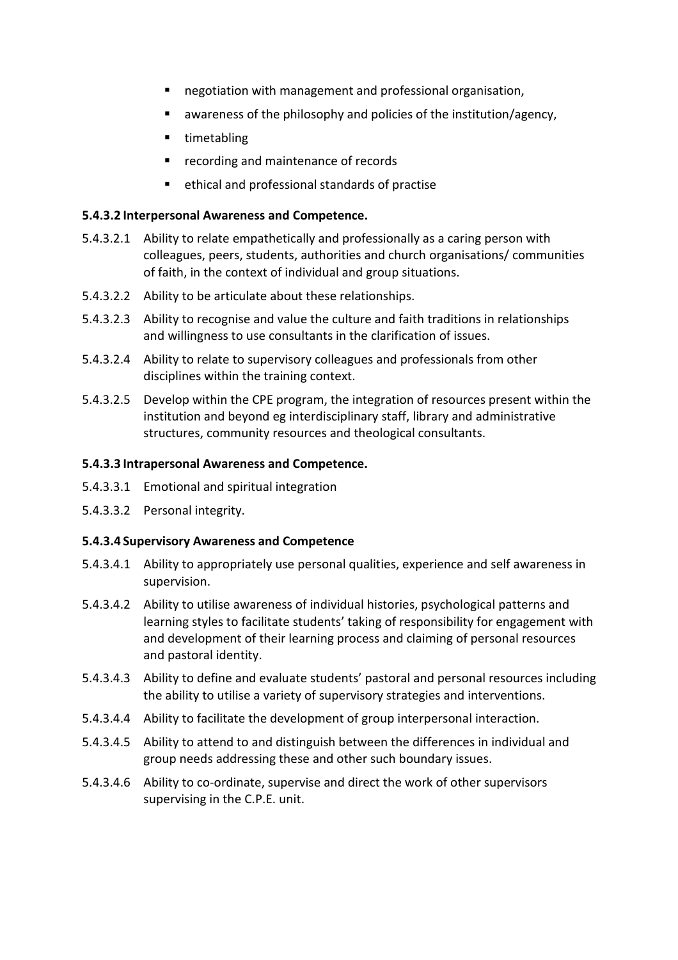- negotiation with management and professional organisation,
- awareness of the philosophy and policies of the institution/agency,
- **timetabling**
- **recording and maintenance of records**
- ethical and professional standards of practise

#### **5.4.3.2 Interpersonal Awareness and Competence.**

- 5.4.3.2.1 Ability to relate empathetically and professionally as a caring person with colleagues, peers, students, authorities and church organisations/ communities of faith, in the context of individual and group situations.
- 5.4.3.2.2 Ability to be articulate about these relationships.
- 5.4.3.2.3 Ability to recognise and value the culture and faith traditions in relationships and willingness to use consultants in the clarification of issues.
- 5.4.3.2.4 Ability to relate to supervisory colleagues and professionals from other disciplines within the training context.
- 5.4.3.2.5 Develop within the CPE program, the integration of resources present within the institution and beyond eg interdisciplinary staff, library and administrative structures, community resources and theological consultants.

#### **5.4.3.3 Intrapersonal Awareness and Competence.**

- 5.4.3.3.1 Emotional and spiritual integration
- 5.4.3.3.2 Personal integrity.

#### **5.4.3.4 Supervisory Awareness and Competence**

- 5.4.3.4.1 Ability to appropriately use personal qualities, experience and self awareness in supervision.
- 5.4.3.4.2 Ability to utilise awareness of individual histories, psychological patterns and learning styles to facilitate students' taking of responsibility for engagement with and development of their learning process and claiming of personal resources and pastoral identity.
- 5.4.3.4.3 Ability to define and evaluate students' pastoral and personal resources including the ability to utilise a variety of supervisory strategies and interventions.
- 5.4.3.4.4 Ability to facilitate the development of group interpersonal interaction.
- 5.4.3.4.5 Ability to attend to and distinguish between the differences in individual and group needs addressing these and other such boundary issues.
- 5.4.3.4.6 Ability to co-ordinate, supervise and direct the work of other supervisors supervising in the C.P.E. unit.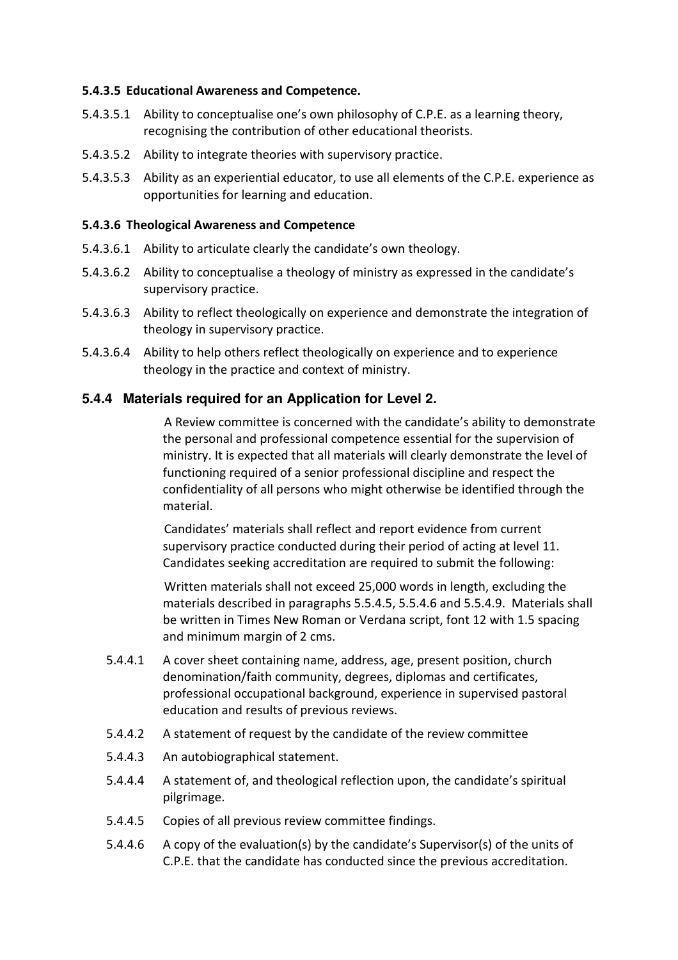#### **5.4.3.5 Educational Awareness and Competence.**

- 5.4.3.5.1 Ability to conceptualise one's own philosophy of C.P.E. as a learning theory, recognising the contribution of other educational theorists.
- 5.4.3.5.2 Ability to integrate theories with supervisory practice.
- 5.4.3.5.3 Ability as an experiential educator, to use all elements of the C.P.E. experience as opportunities for learning and education.

#### **5.4.3.6 Theological Awareness and Competence**

- 5.4.3.6.1 Ability to articulate clearly the candidate's own theology.
- 5.4.3.6.2 Ability to conceptualise a theology of ministry as expressed in the candidate's supervisory practice.
- 5.4.3.6.3 Ability to reflect theologically on experience and demonstrate the integration of theology in supervisory practice.
- 5.4.3.6.4 Ability to help others reflect theologically on experience and to experience theology in the practice and context of ministry.

## **5.4.4 Materials required for an Application for Level 2.**

 A Review committee is concerned with the candidate's ability to demonstrate the personal and professional competence essential for the supervision of ministry. It is expected that all materials will clearly demonstrate the level of functioning required of a senior professional discipline and respect the confidentiality of all persons who might otherwise be identified through the material.

 Candidates' materials shall reflect and report evidence from current supervisory practice conducted during their period of acting at level 11. Candidates seeking accreditation are required to submit the following:

 Written materials shall not exceed 25,000 words in length, excluding the materials described in paragraphs 5.5.4.5, 5.5.4.6 and 5.5.4.9. Materials shall be written in Times New Roman or Verdana script, font 12 with 1.5 spacing and minimum margin of 2 cms.

- 5.4.4.1 A cover sheet containing name, address, age, present position, church denomination/faith community, degrees, diplomas and certificates, professional occupational background, experience in supervised pastoral education and results of previous reviews.
- 5.4.4.2 A statement of request by the candidate of the review committee
- 5.4.4.3 An autobiographical statement.
- 5.4.4.4 A statement of, and theological reflection upon, the candidate's spiritual pilgrimage.
- 5.4.4.5 Copies of all previous review committee findings.
- 5.4.4.6 A copy of the evaluation(s) by the candidate's Supervisor(s) of the units of C.P.E. that the candidate has conducted since the previous accreditation.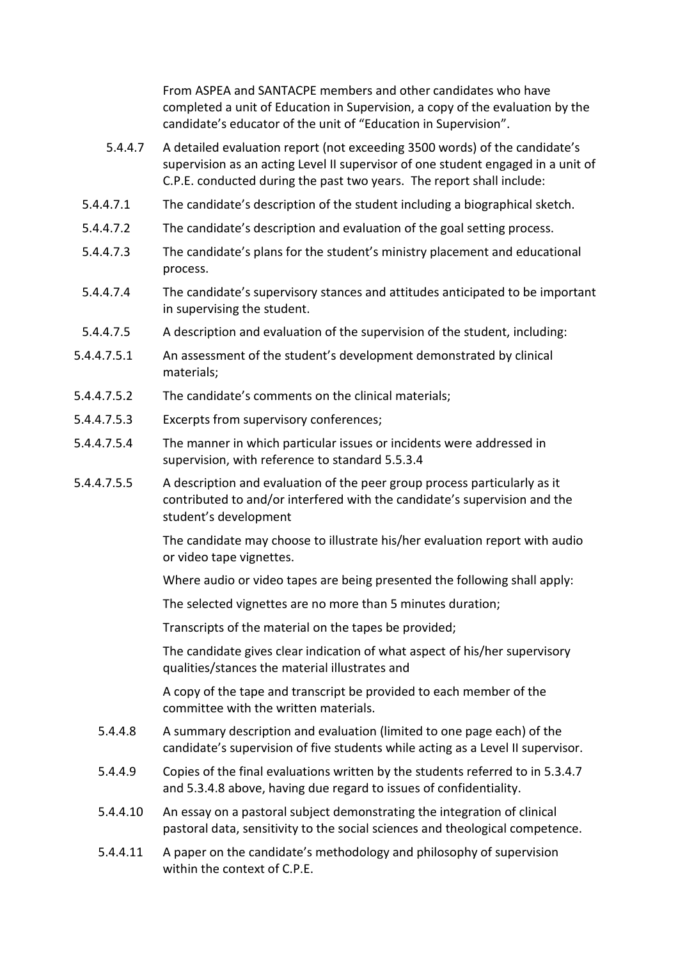From ASPEA and SANTACPE members and other candidates who have completed a unit of Education in Supervision, a copy of the evaluation by the candidate's educator of the unit of "Education in Supervision".

- 5.4.4.7 A detailed evaluation report (not exceeding 3500 words) of the candidate's supervision as an acting Level II supervisor of one student engaged in a unit of C.P.E. conducted during the past two years. The report shall include:
- 5.4.4.7.1 The candidate's description of the student including a biographical sketch.
- 5.4.4.7.2 The candidate's description and evaluation of the goal setting process.
- 5.4.4.7.3 The candidate's plans for the student's ministry placement and educational process.
- 5.4.4.7.4 The candidate's supervisory stances and attitudes anticipated to be important in supervising the student.
- 5.4.4.7.5 A description and evaluation of the supervision of the student, including:
- 5.4.4.7.5.1 An assessment of the student's development demonstrated by clinical materials;
- 5.4.4.7.5.2 The candidate's comments on the clinical materials;
- 5.4.4.7.5.3 Excerpts from supervisory conferences;
- 5.4.4.7.5.4 The manner in which particular issues or incidents were addressed in supervision, with reference to standard 5.5.3.4
- 5.4.4.7.5.5 A description and evaluation of the peer group process particularly as it contributed to and/or interfered with the candidate's supervision and the student's development

The candidate may choose to illustrate his/her evaluation report with audio or video tape vignettes.

Where audio or video tapes are being presented the following shall apply:

The selected vignettes are no more than 5 minutes duration;

Transcripts of the material on the tapes be provided;

The candidate gives clear indication of what aspect of his/her supervisory qualities/stances the material illustrates and

A copy of the tape and transcript be provided to each member of the committee with the written materials.

- 5.4.4.8 A summary description and evaluation (limited to one page each) of the candidate's supervision of five students while acting as a Level II supervisor.
- 5.4.4.9 Copies of the final evaluations written by the students referred to in 5.3.4.7 and 5.3.4.8 above, having due regard to issues of confidentiality.
- 5.4.4.10 An essay on a pastoral subject demonstrating the integration of clinical pastoral data, sensitivity to the social sciences and theological competence.
- 5.4.4.11 A paper on the candidate's methodology and philosophy of supervision within the context of C.P.E.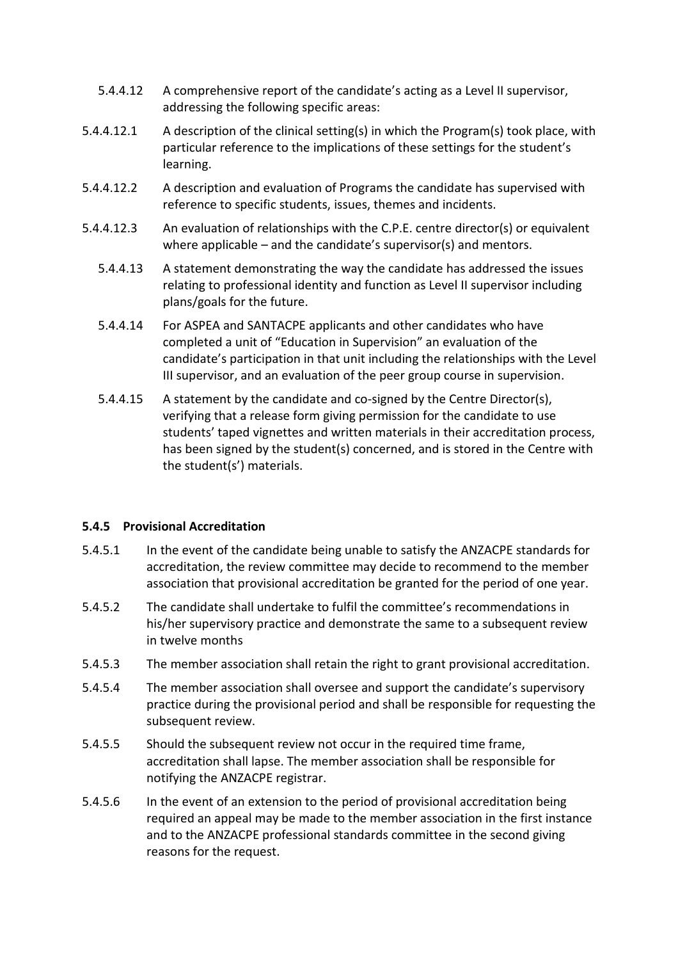- 5.4.4.12 A comprehensive report of the candidate's acting as a Level II supervisor, addressing the following specific areas:
- 5.4.4.12.1 A description of the clinical setting(s) in which the Program(s) took place, with particular reference to the implications of these settings for the student's learning.
- 5.4.4.12.2 A description and evaluation of Programs the candidate has supervised with reference to specific students, issues, themes and incidents.
- 5.4.4.12.3 An evaluation of relationships with the C.P.E. centre director(s) or equivalent where applicable – and the candidate's supervisor(s) and mentors.
	- 5.4.4.13 A statement demonstrating the way the candidate has addressed the issues relating to professional identity and function as Level II supervisor including plans/goals for the future.
	- 5.4.4.14 For ASPEA and SANTACPE applicants and other candidates who have completed a unit of "Education in Supervision" an evaluation of the candidate's participation in that unit including the relationships with the Level III supervisor, and an evaluation of the peer group course in supervision.
	- 5.4.4.15 A statement by the candidate and co-signed by the Centre Director(s), verifying that a release form giving permission for the candidate to use students' taped vignettes and written materials in their accreditation process, has been signed by the student(s) concerned, and is stored in the Centre with the student(s') materials.

## **5.4.5 Provisional Accreditation**

- 5.4.5.1 In the event of the candidate being unable to satisfy the ANZACPE standards for accreditation, the review committee may decide to recommend to the member association that provisional accreditation be granted for the period of one year.
- 5.4.5.2 The candidate shall undertake to fulfil the committee's recommendations in his/her supervisory practice and demonstrate the same to a subsequent review in twelve months
- 5.4.5.3 The member association shall retain the right to grant provisional accreditation.
- 5.4.5.4 The member association shall oversee and support the candidate's supervisory practice during the provisional period and shall be responsible for requesting the subsequent review.
- 5.4.5.5 Should the subsequent review not occur in the required time frame, accreditation shall lapse. The member association shall be responsible for notifying the ANZACPE registrar.
- 5.4.5.6 In the event of an extension to the period of provisional accreditation being required an appeal may be made to the member association in the first instance and to the ANZACPE professional standards committee in the second giving reasons for the request.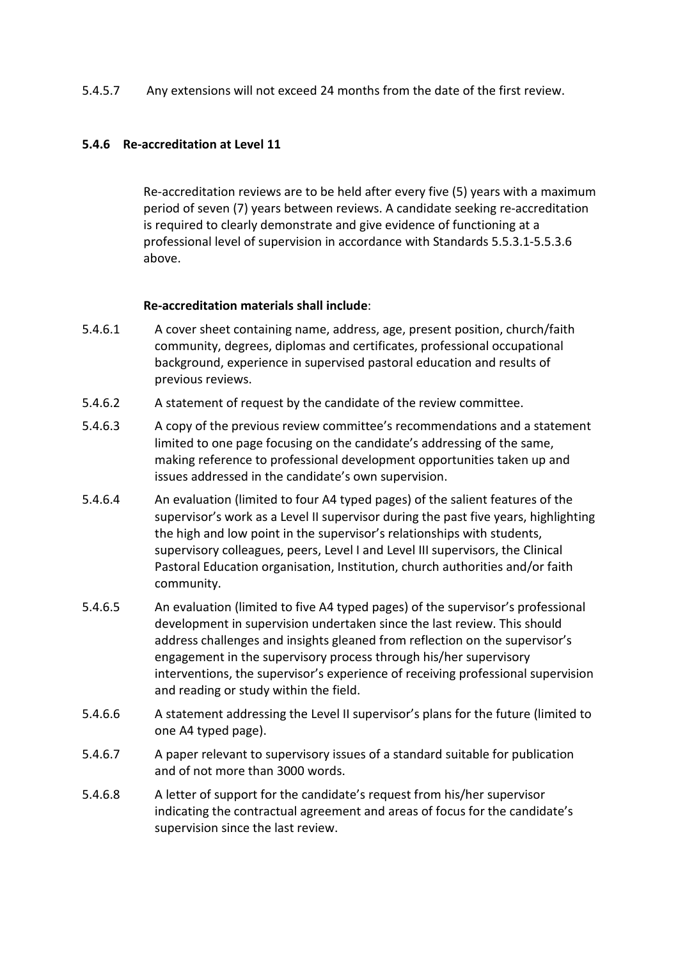#### 5.4.5.7 Any extensions will not exceed 24 months from the date of the first review.

#### **5.4.6 Re-accreditation at Level 11**

Re-accreditation reviews are to be held after every five (5) years with a maximum period of seven (7) years between reviews. A candidate seeking re-accreditation is required to clearly demonstrate and give evidence of functioning at a professional level of supervision in accordance with Standards 5.5.3.1-5.5.3.6 above.

#### **Re-accreditation materials shall include**:

- 5.4.6.1 A cover sheet containing name, address, age, present position, church/faith community, degrees, diplomas and certificates, professional occupational background, experience in supervised pastoral education and results of previous reviews.
- 5.4.6.2 A statement of request by the candidate of the review committee.
- 5.4.6.3 A copy of the previous review committee's recommendations and a statement limited to one page focusing on the candidate's addressing of the same, making reference to professional development opportunities taken up and issues addressed in the candidate's own supervision.
- 5.4.6.4 An evaluation (limited to four A4 typed pages) of the salient features of the supervisor's work as a Level II supervisor during the past five years, highlighting the high and low point in the supervisor's relationships with students, supervisory colleagues, peers, Level I and Level III supervisors, the Clinical Pastoral Education organisation, Institution, church authorities and/or faith community.
- 5.4.6.5 An evaluation (limited to five A4 typed pages) of the supervisor's professional development in supervision undertaken since the last review. This should address challenges and insights gleaned from reflection on the supervisor's engagement in the supervisory process through his/her supervisory interventions, the supervisor's experience of receiving professional supervision and reading or study within the field.
- 5.4.6.6 A statement addressing the Level II supervisor's plans for the future (limited to one A4 typed page).
- 5.4.6.7 A paper relevant to supervisory issues of a standard suitable for publication and of not more than 3000 words.
- 5.4.6.8 A letter of support for the candidate's request from his/her supervisor indicating the contractual agreement and areas of focus for the candidate's supervision since the last review.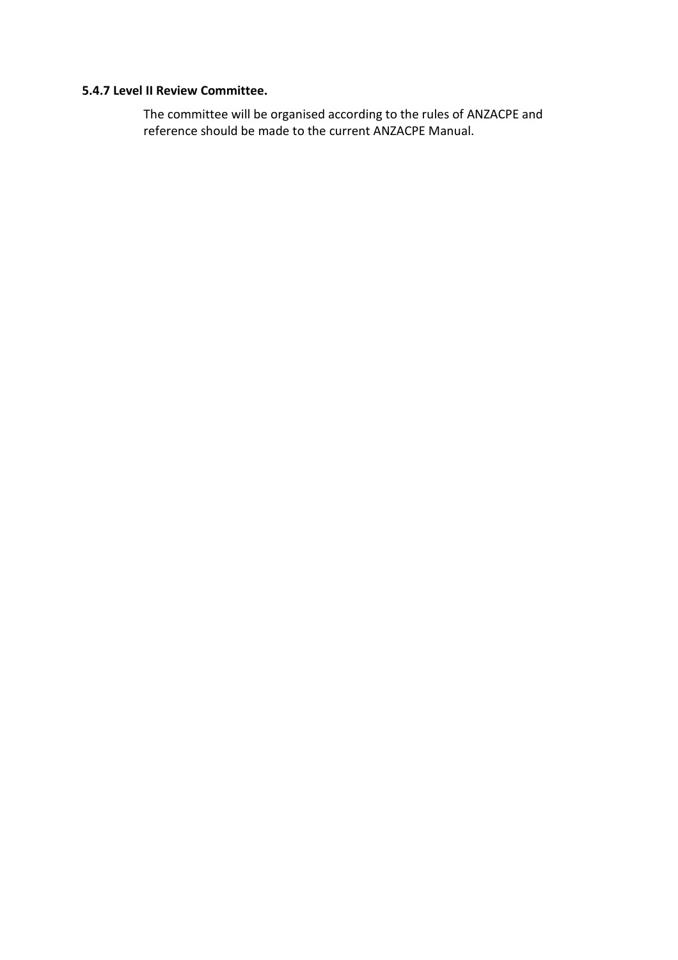#### **5.4.7 Level II Review Committee.**

The committee will be organised according to the rules of ANZACPE and reference should be made to the current ANZACPE Manual.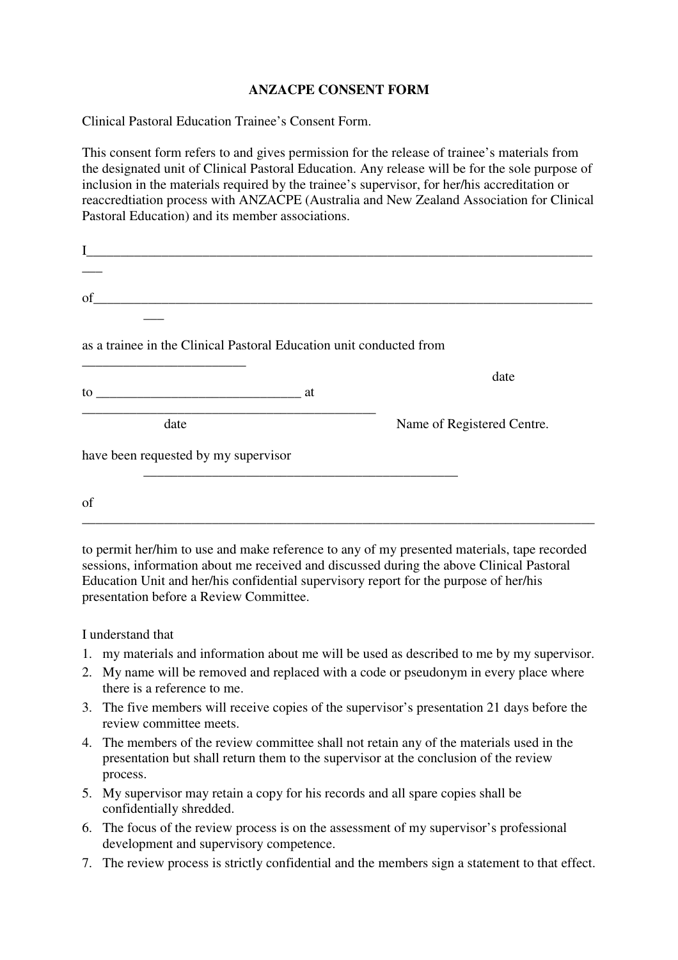## **ANZACPE CONSENT FORM**

Clinical Pastoral Education Trainee's Consent Form.

This consent form refers to and gives permission for the release of trainee's materials from the designated unit of Clinical Pastoral Education. Any release will be for the sole purpose of inclusion in the materials required by the trainee's supervisor, for her/his accreditation or reaccredtiation process with ANZACPE (Australia and New Zealand Association for Clinical Pastoral Education) and its member associations.

| of                                                      |                                                                     |                            |
|---------------------------------------------------------|---------------------------------------------------------------------|----------------------------|
|                                                         |                                                                     |                            |
|                                                         | as a trainee in the Clinical Pastoral Education unit conducted from |                            |
| <u> 1989 - Johann Johnson, mars andrew Maria (b. 19</u> |                                                                     | date                       |
|                                                         |                                                                     |                            |
| date                                                    |                                                                     | Name of Registered Centre. |
| have been requested by my supervisor                    |                                                                     |                            |
|                                                         |                                                                     |                            |
| of                                                      |                                                                     |                            |
|                                                         |                                                                     |                            |

to permit her/him to use and make reference to any of my presented materials, tape recorded sessions, information about me received and discussed during the above Clinical Pastoral Education Unit and her/his confidential supervisory report for the purpose of her/his presentation before a Review Committee.

I understand that

- 1. my materials and information about me will be used as described to me by my supervisor.
- 2. My name will be removed and replaced with a code or pseudonym in every place where there is a reference to me.
- 3. The five members will receive copies of the supervisor's presentation 21 days before the review committee meets.
- 4. The members of the review committee shall not retain any of the materials used in the presentation but shall return them to the supervisor at the conclusion of the review process.
- 5. My supervisor may retain a copy for his records and all spare copies shall be confidentially shredded.
- 6. The focus of the review process is on the assessment of my supervisor's professional development and supervisory competence.
- 7. The review process is strictly confidential and the members sign a statement to that effect.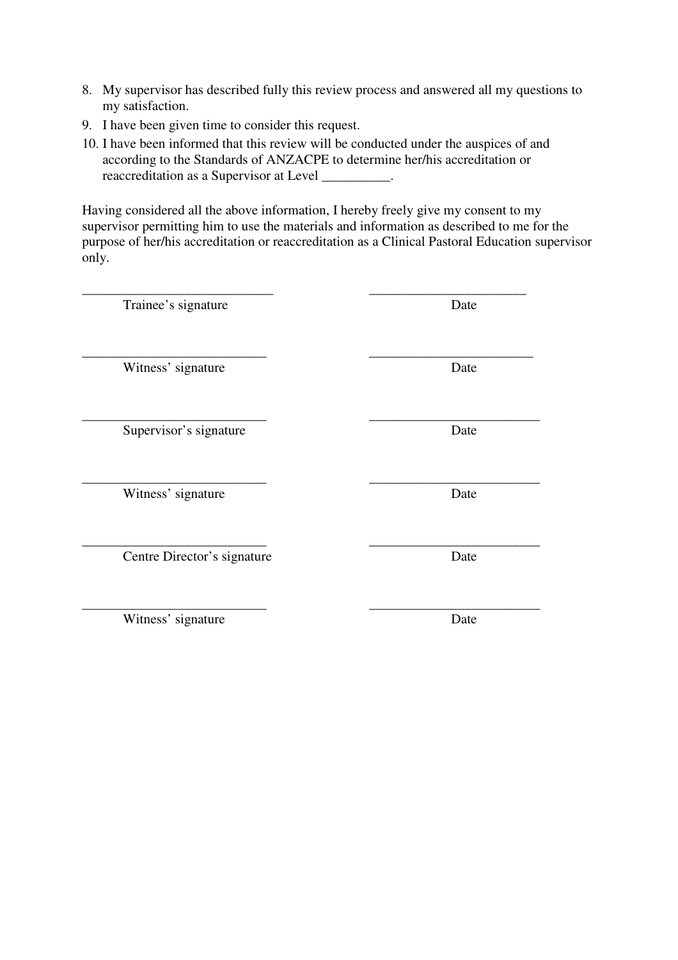- 8. My supervisor has described fully this review process and answered all my questions to my satisfaction.
- 9. I have been given time to consider this request.
- 10. I have been informed that this review will be conducted under the auspices of and according to the Standards of ANZACPE to determine her/his accreditation or reaccreditation as a Supervisor at Level \_\_\_\_\_\_\_\_\_\_.

Having considered all the above information, I hereby freely give my consent to my supervisor permitting him to use the materials and information as described to me for the purpose of her/his accreditation or reaccreditation as a Clinical Pastoral Education supervisor only.

| Trainee's signature         | Date |
|-----------------------------|------|
| Witness' signature          | Date |
| Supervisor's signature      | Date |
| Witness' signature          | Date |
| Centre Director's signature | Date |
| Witness' signature          | Date |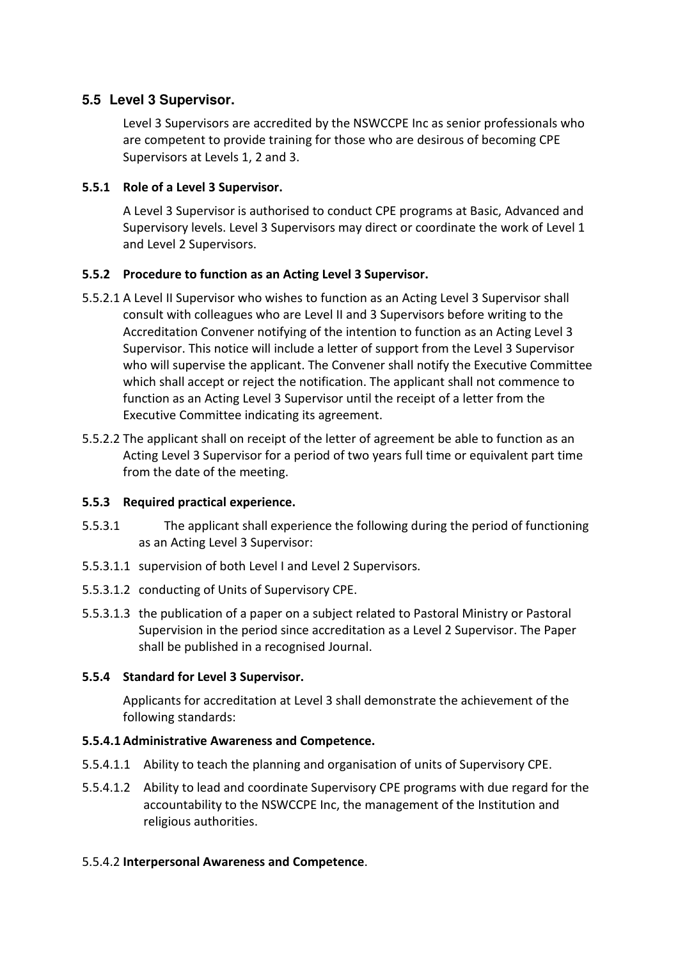## **5.5 Level 3 Supervisor.**

 Level 3 Supervisors are accredited by the NSWCCPE Inc as senior professionals who are competent to provide training for those who are desirous of becoming CPE Supervisors at Levels 1, 2 and 3.

## **5.5.1 Role of a Level 3 Supervisor.**

 A Level 3 Supervisor is authorised to conduct CPE programs at Basic, Advanced and Supervisory levels. Level 3 Supervisors may direct or coordinate the work of Level 1 and Level 2 Supervisors.

## **5.5.2 Procedure to function as an Acting Level 3 Supervisor.**

- 5.5.2.1 A Level II Supervisor who wishes to function as an Acting Level 3 Supervisor shall consult with colleagues who are Level II and 3 Supervisors before writing to the Accreditation Convener notifying of the intention to function as an Acting Level 3 Supervisor. This notice will include a letter of support from the Level 3 Supervisor who will supervise the applicant. The Convener shall notify the Executive Committee which shall accept or reject the notification. The applicant shall not commence to function as an Acting Level 3 Supervisor until the receipt of a letter from the Executive Committee indicating its agreement.
- 5.5.2.2 The applicant shall on receipt of the letter of agreement be able to function as an Acting Level 3 Supervisor for a period of two years full time or equivalent part time from the date of the meeting.

## **5.5.3 Required practical experience.**

- 5.5.3.1 The applicant shall experience the following during the period of functioning as an Acting Level 3 Supervisor:
- 5.5.3.1.1 supervision of both Level I and Level 2 Supervisors.
- 5.5.3.1.2 conducting of Units of Supervisory CPE.
- 5.5.3.1.3 the publication of a paper on a subject related to Pastoral Ministry or Pastoral Supervision in the period since accreditation as a Level 2 Supervisor. The Paper shall be published in a recognised Journal.

## **5.5.4 Standard for Level 3 Supervisor.**

Applicants for accreditation at Level 3 shall demonstrate the achievement of the following standards:

## **5.5.4.1 Administrative Awareness and Competence.**

- 5.5.4.1.1 Ability to teach the planning and organisation of units of Supervisory CPE.
- 5.5.4.1.2 Ability to lead and coordinate Supervisory CPE programs with due regard for the accountability to the NSWCCPE Inc, the management of the Institution and religious authorities.

## 5.5.4.2 **Interpersonal Awareness and Competence**.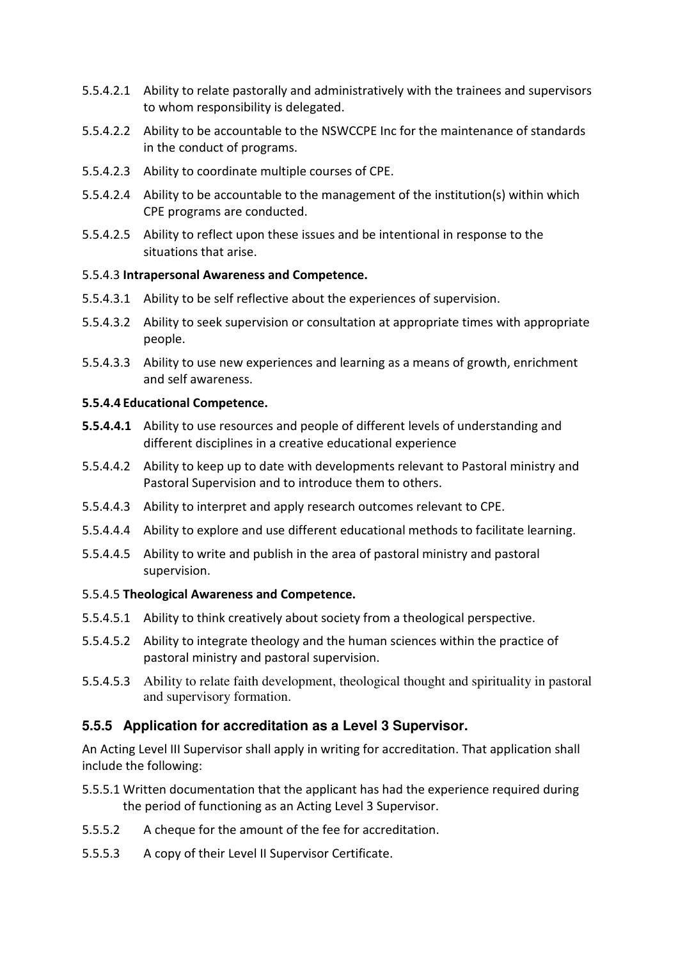- 5.5.4.2.1 Ability to relate pastorally and administratively with the trainees and supervisors to whom responsibility is delegated.
- 5.5.4.2.2 Ability to be accountable to the NSWCCPE Inc for the maintenance of standards in the conduct of programs.
- 5.5.4.2.3 Ability to coordinate multiple courses of CPE.
- 5.5.4.2.4 Ability to be accountable to the management of the institution(s) within which CPE programs are conducted.
- 5.5.4.2.5 Ability to reflect upon these issues and be intentional in response to the situations that arise.

#### 5.5.4.3 **Intrapersonal Awareness and Competence.**

- 5.5.4.3.1 Ability to be self reflective about the experiences of supervision.
- 5.5.4.3.2 Ability to seek supervision or consultation at appropriate times with appropriate people.
- 5.5.4.3.3 Ability to use new experiences and learning as a means of growth, enrichment and self awareness.

#### **5.5.4.4 Educational Competence.**

- **5.5.4.4.1** Ability to use resources and people of different levels of understanding and different disciplines in a creative educational experience
- 5.5.4.4.2 Ability to keep up to date with developments relevant to Pastoral ministry and Pastoral Supervision and to introduce them to others.
- 5.5.4.4.3 Ability to interpret and apply research outcomes relevant to CPE.
- 5.5.4.4.4 Ability to explore and use different educational methods to facilitate learning.
- 5.5.4.4.5 Ability to write and publish in the area of pastoral ministry and pastoral supervision.

## 5.5.4.5 **Theological Awareness and Competence.**

- 5.5.4.5.1 Ability to think creatively about society from a theological perspective.
- 5.5.4.5.2 Ability to integrate theology and the human sciences within the practice of pastoral ministry and pastoral supervision.
- 5.5.4.5.3 Ability to relate faith development, theological thought and spirituality in pastoral and supervisory formation.

## **5.5.5 Application for accreditation as a Level 3 Supervisor.**

An Acting Level III Supervisor shall apply in writing for accreditation. That application shall include the following:

- 5.5.5.1 Written documentation that the applicant has had the experience required during the period of functioning as an Acting Level 3 Supervisor.
- 5.5.5.2 A cheque for the amount of the fee for accreditation.
- 5.5.5.3 A copy of their Level II Supervisor Certificate.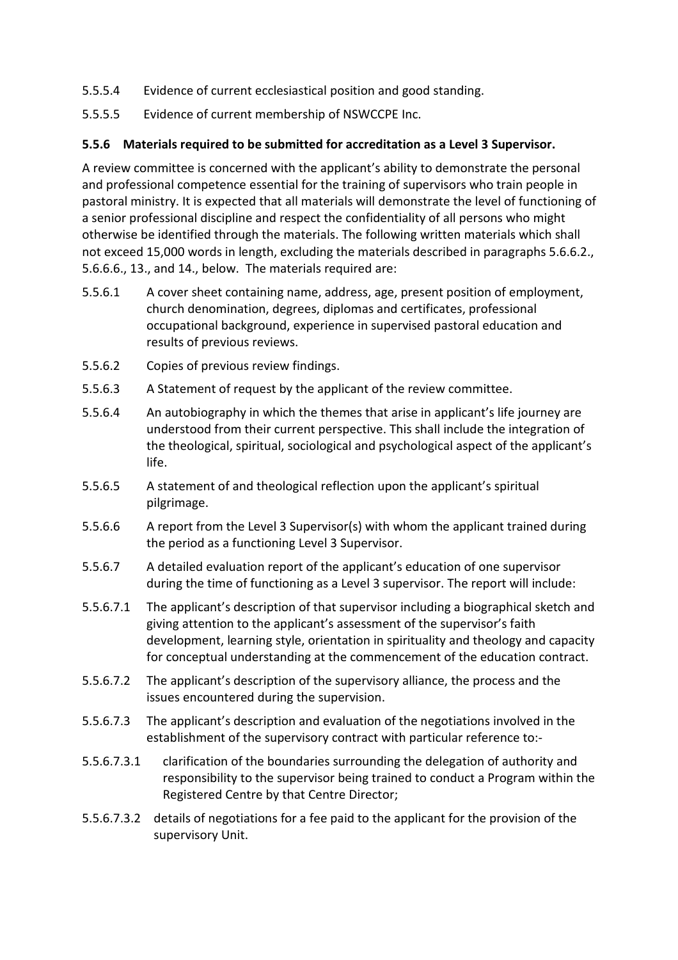- 5.5.5.4 Evidence of current ecclesiastical position and good standing.
- 5.5.5.5 Evidence of current membership of NSWCCPE Inc.

## **5.5.6 Materials required to be submitted for accreditation as a Level 3 Supervisor.**

A review committee is concerned with the applicant's ability to demonstrate the personal and professional competence essential for the training of supervisors who train people in pastoral ministry. It is expected that all materials will demonstrate the level of functioning of a senior professional discipline and respect the confidentiality of all persons who might otherwise be identified through the materials. The following written materials which shall not exceed 15,000 words in length, excluding the materials described in paragraphs 5.6.6.2., 5.6.6.6., 13., and 14., below. The materials required are:

- 5.5.6.1 A cover sheet containing name, address, age, present position of employment, church denomination, degrees, diplomas and certificates, professional occupational background, experience in supervised pastoral education and results of previous reviews.
- 5.5.6.2 Copies of previous review findings.
- 5.5.6.3 A Statement of request by the applicant of the review committee.
- 5.5.6.4 An autobiography in which the themes that arise in applicant's life journey are understood from their current perspective. This shall include the integration of the theological, spiritual, sociological and psychological aspect of the applicant's life.
- 5.5.6.5 A statement of and theological reflection upon the applicant's spiritual pilgrimage.
- 5.5.6.6 A report from the Level 3 Supervisor(s) with whom the applicant trained during the period as a functioning Level 3 Supervisor.
- 5.5.6.7 A detailed evaluation report of the applicant's education of one supervisor during the time of functioning as a Level 3 supervisor. The report will include:
- 5.5.6.7.1 The applicant's description of that supervisor including a biographical sketch and giving attention to the applicant's assessment of the supervisor's faith development, learning style, orientation in spirituality and theology and capacity for conceptual understanding at the commencement of the education contract.
- 5.5.6.7.2 The applicant's description of the supervisory alliance, the process and the issues encountered during the supervision.
- 5.5.6.7.3 The applicant's description and evaluation of the negotiations involved in the establishment of the supervisory contract with particular reference to:-
- 5.5.6.7.3.1 clarification of the boundaries surrounding the delegation of authority and responsibility to the supervisor being trained to conduct a Program within the Registered Centre by that Centre Director;
- 5.5.6.7.3.2 details of negotiations for a fee paid to the applicant for the provision of the supervisory Unit.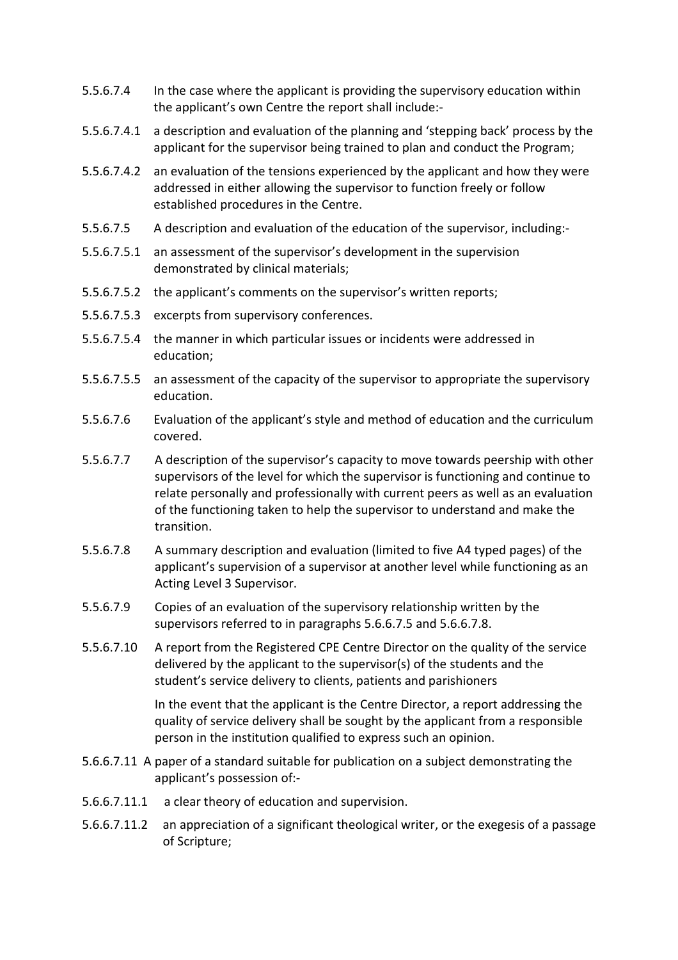- 5.5.6.7.4 In the case where the applicant is providing the supervisory education within the applicant's own Centre the report shall include:-
- 5.5.6.7.4.1 a description and evaluation of the planning and 'stepping back' process by the applicant for the supervisor being trained to plan and conduct the Program;
- 5.5.6.7.4.2 an evaluation of the tensions experienced by the applicant and how they were addressed in either allowing the supervisor to function freely or follow established procedures in the Centre.
- 5.5.6.7.5 A description and evaluation of the education of the supervisor, including:-
- 5.5.6.7.5.1 an assessment of the supervisor's development in the supervision demonstrated by clinical materials;
- 5.5.6.7.5.2 the applicant's comments on the supervisor's written reports;
- 5.5.6.7.5.3 excerpts from supervisory conferences.
- 5.5.6.7.5.4 the manner in which particular issues or incidents were addressed in education;
- 5.5.6.7.5.5 an assessment of the capacity of the supervisor to appropriate the supervisory education.
- 5.5.6.7.6 Evaluation of the applicant's style and method of education and the curriculum covered.
- 5.5.6.7.7 A description of the supervisor's capacity to move towards peership with other supervisors of the level for which the supervisor is functioning and continue to relate personally and professionally with current peers as well as an evaluation of the functioning taken to help the supervisor to understand and make the transition.
- 5.5.6.7.8 A summary description and evaluation (limited to five A4 typed pages) of the applicant's supervision of a supervisor at another level while functioning as an Acting Level 3 Supervisor.
- 5.5.6.7.9 Copies of an evaluation of the supervisory relationship written by the supervisors referred to in paragraphs 5.6.6.7.5 and 5.6.6.7.8.
- 5.5.6.7.10 A report from the Registered CPE Centre Director on the quality of the service delivered by the applicant to the supervisor(s) of the students and the student's service delivery to clients, patients and parishioners

In the event that the applicant is the Centre Director, a report addressing the quality of service delivery shall be sought by the applicant from a responsible person in the institution qualified to express such an opinion.

- 5.6.6.7.11 A paper of a standard suitable for publication on a subject demonstrating the applicant's possession of:-
- 5.6.6.7.11.1 a clear theory of education and supervision.
- 5.6.6.7.11.2 an appreciation of a significant theological writer, or the exegesis of a passage of Scripture;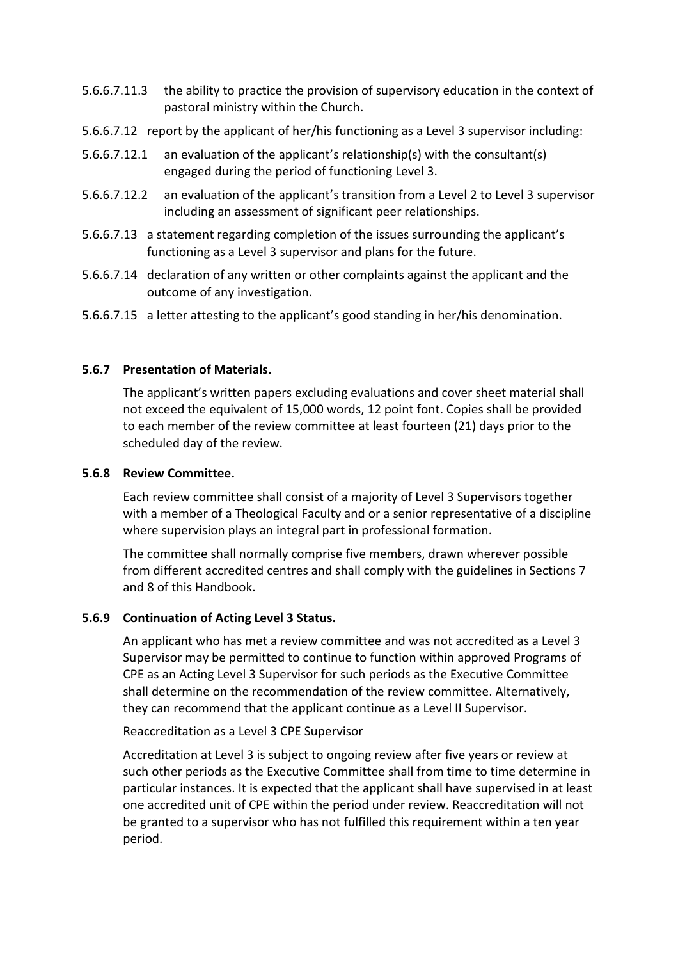- 5.6.6.7.11.3 the ability to practice the provision of supervisory education in the context of pastoral ministry within the Church.
- 5.6.6.7.12 report by the applicant of her/his functioning as a Level 3 supervisor including:
- 5.6.6.7.12.1 an evaluation of the applicant's relationship(s) with the consultant(s) engaged during the period of functioning Level 3.
- 5.6.6.7.12.2 an evaluation of the applicant's transition from a Level 2 to Level 3 supervisor including an assessment of significant peer relationships.
- 5.6.6.7.13 a statement regarding completion of the issues surrounding the applicant's functioning as a Level 3 supervisor and plans for the future.
- 5.6.6.7.14 declaration of any written or other complaints against the applicant and the outcome of any investigation.
- 5.6.6.7.15 a letter attesting to the applicant's good standing in her/his denomination.

#### **5.6.7 Presentation of Materials.**

The applicant's written papers excluding evaluations and cover sheet material shall not exceed the equivalent of 15,000 words, 12 point font. Copies shall be provided to each member of the review committee at least fourteen (21) days prior to the scheduled day of the review.

#### **5.6.8 Review Committee.**

Each review committee shall consist of a majority of Level 3 Supervisors together with a member of a Theological Faculty and or a senior representative of a discipline where supervision plays an integral part in professional formation.

The committee shall normally comprise five members, drawn wherever possible from different accredited centres and shall comply with the guidelines in Sections 7 and 8 of this Handbook.

#### **5.6.9 Continuation of Acting Level 3 Status.**

An applicant who has met a review committee and was not accredited as a Level 3 Supervisor may be permitted to continue to function within approved Programs of CPE as an Acting Level 3 Supervisor for such periods as the Executive Committee shall determine on the recommendation of the review committee. Alternatively, they can recommend that the applicant continue as a Level II Supervisor.

Reaccreditation as a Level 3 CPE Supervisor

Accreditation at Level 3 is subject to ongoing review after five years or review at such other periods as the Executive Committee shall from time to time determine in particular instances. It is expected that the applicant shall have supervised in at least one accredited unit of CPE within the period under review. Reaccreditation will not be granted to a supervisor who has not fulfilled this requirement within a ten year period.